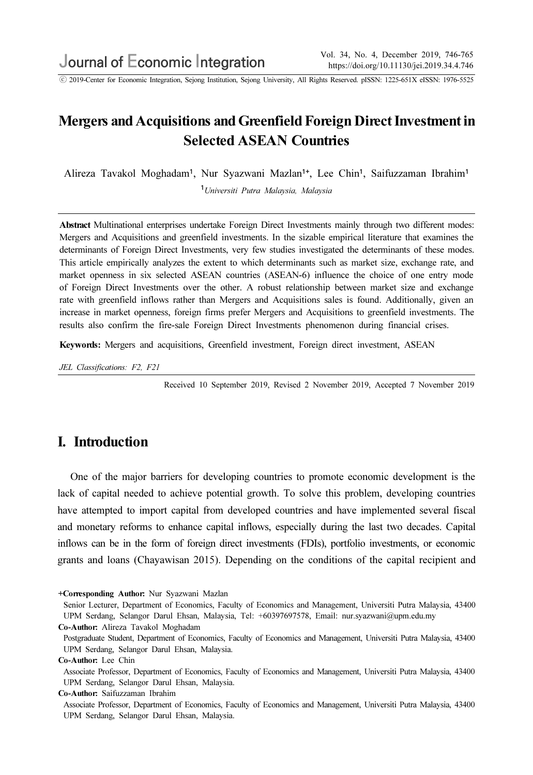ⓒ 2019-Center for Economic Integration, Sejong Institution, Sejong University, All Rights Reserved. pISSN: 1225-651X eISSN: 1976-5525

# Mergers and Acquisitions and Greenfield Foreign Direct Investment in Selected ASEAN Countries

Alireza Tavakol Moghadam<sup>1</sup>, Nur Syazwani Mazlan<sup>1+</sup>, Lee Chin<sup>1</sup>, Saifuzzaman Ibrahim<sup>1</sup>

<sup>1</sup>Universiti Putra Malaysia, Malaysia

Abstract Multinational enterprises undertake Foreign Direct Investments mainly through two different modes: Mergers and Acquisitions and greenfield investments. In the sizable empirical literature that examines the determinants of Foreign Direct Investments, very few studies investigated the determinants of these modes. This article empirically analyzes the extent to which determinants such as market size, exchange rate, and market openness in six selected ASEAN countries (ASEAN-6) influence the choice of one entry mode of Foreign Direct Investments over the other. A robust relationship between market size and exchange rate with greenfield inflows rather than Mergers and Acquisitions sales is found. Additionally, given an increase in market openness, foreign firms prefer Mergers and Acquisitions to greenfield investments. The results also confirm the fire-sale Foreign Direct Investments phenomenon during financial crises.

Keywords: Mergers and acquisitions, Greenfield investment, Foreign direct investment, ASEAN

JEL Classifications: F2, F21

Received 10 September 2019, Revised 2 November 2019, Accepted 7 November 2019

# I. Introduction

One of the major barriers for developing countries to promote economic development is the lack of capital needed to achieve potential growth. To solve this problem, developing countries have attempted to import capital from developed countries and have implemented several fiscal and monetary reforms to enhance capital inflows, especially during the last two decades. Capital inflows can be in the form of foreign direct investments (FDIs), portfolio investments, or economic grants and loans (Chayawisan 2015). Depending on the conditions of the capital recipient and

+Corresponding Author: Nur Syazwani Mazlan

Senior Lecturer, Department of Economics, Faculty of Economics and Management, Universiti Putra Malaysia, 43400 UPM Serdang, Selangor Darul Ehsan, Malaysia, Tel: +60397697578, Email: nur.syazwani@upm.edu.my Co-Author: Alireza Tavakol Moghadam

Postgraduate Student, Department of Economics, Faculty of Economics and Management, Universiti Putra Malaysia, 43400 UPM Serdang, Selangor Darul Ehsan, Malaysia.

Associate Professor, Department of Economics, Faculty of Economics and Management, Universiti Putra Malaysia, 43400 UPM Serdang, Selangor Darul Ehsan, Malaysia.

Co-Author: Saifuzzaman Ibrahim

Associate Professor, Department of Economics, Faculty of Economics and Management, Universiti Putra Malaysia, 43400 UPM Serdang, Selangor Darul Ehsan, Malaysia.

Co-Author: Lee Chin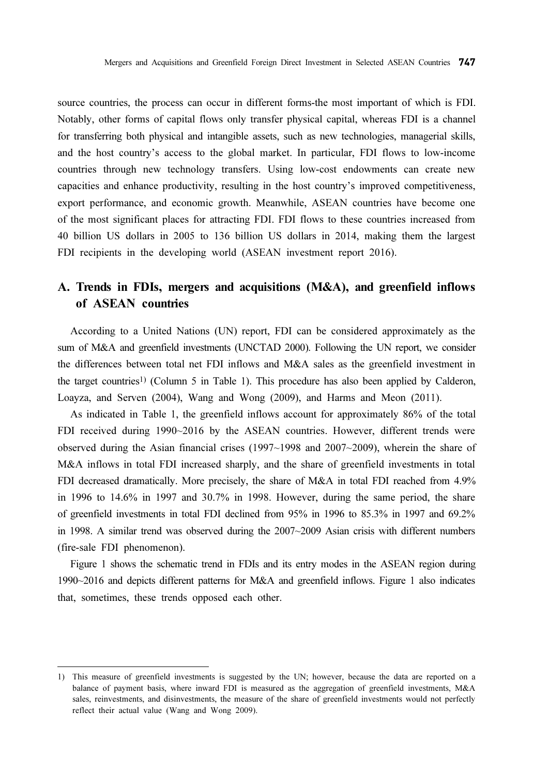source countries, the process can occur in different forms-the most important of which is FDI. Notably, other forms of capital flows only transfer physical capital, whereas FDI is a channel for transferring both physical and intangible assets, such as new technologies, managerial skills, and the host country's access to the global market. In particular, FDI flows to low-income countries through new technology transfers. Using low-cost endowments can create new capacities and enhance productivity, resulting in the host country's improved competitiveness, export performance, and economic growth. Meanwhile, ASEAN countries have become one of the most significant places for attracting FDI. FDI flows to these countries increased from 40 billion US dollars in 2005 to 136 billion US dollars in 2014, making them the largest FDI recipients in the developing world (ASEAN investment report 2016).

# A. Trends in FDIs, mergers and acquisitions (M&A), and greenfield inflows of ASEAN countries

According to a United Nations (UN) report, FDI can be considered approximately as the sum of M&A and greenfield investments (UNCTAD 2000). Following the UN report, we consider the differences between total net FDI inflows and M&A sales as the greenfield investment in the target countries1) (Column 5 in Table 1). This procedure has also been applied by Calderon, Loayza, and Serven (2004), Wang and Wong (2009), and Harms and Meon (2011).

As indicated in Table 1, the greenfield inflows account for approximately 86% of the total FDI received during 1990~2016 by the ASEAN countries. However, different trends were observed during the Asian financial crises (1997~1998 and 2007~2009), wherein the share of M&A inflows in total FDI increased sharply, and the share of greenfield investments in total FDI decreased dramatically. More precisely, the share of M&A in total FDI reached from 4.9% in 1996 to 14.6% in 1997 and 30.7% in 1998. However, during the same period, the share of greenfield investments in total FDI declined from 95% in 1996 to 85.3% in 1997 and 69.2% in 1998. A similar trend was observed during the 2007~2009 Asian crisis with different numbers (fire-sale FDI phenomenon).

Figure 1 shows the schematic trend in FDIs and its entry modes in the ASEAN region during 1990~2016 and depicts different patterns for M&A and greenfield inflows. Figure 1 also indicates that, sometimes, these trends opposed each other.

<sup>1)</sup> This measure of greenfield investments is suggested by the UN; however, because the data are reported on a balance of payment basis, where inward FDI is measured as the aggregation of greenfield investments, M&A sales, reinvestments, and disinvestments, the measure of the share of greenfield investments would not perfectly reflect their actual value (Wang and Wong 2009).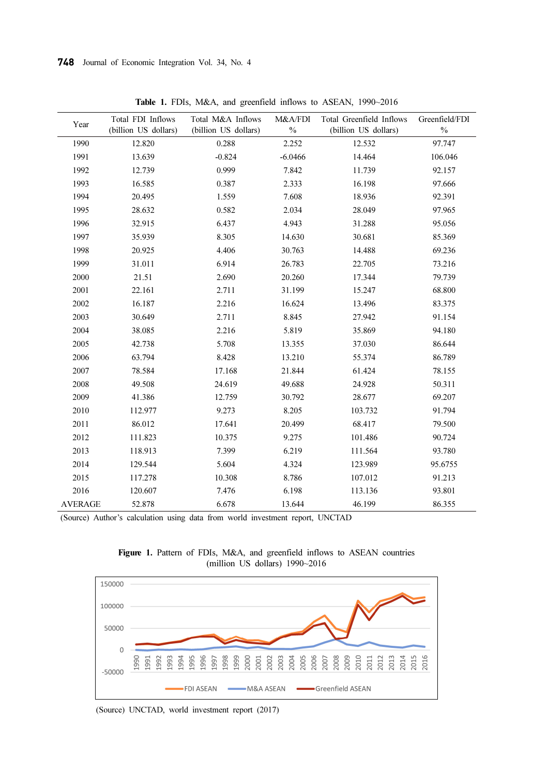| Year           | Total FDI Inflows<br>(billion US dollars) | Total M&A Inflows<br>(billion US dollars) | M&A/FDI<br>$\%$ | Total Greenfield Inflows<br>(billion US dollars) | Greenfield/FDI<br>$\%$ |
|----------------|-------------------------------------------|-------------------------------------------|-----------------|--------------------------------------------------|------------------------|
| 1990           | 12.820                                    | 0.288                                     | 2.252           | 12.532                                           | 97.747                 |
| 1991           | 13.639                                    | $-0.824$                                  | $-6.0466$       | 14.464                                           | 106.046                |
| 1992           | 12.739                                    | 0.999                                     | 7.842           | 11.739                                           | 92.157                 |
| 1993           | 16.585                                    | 0.387                                     | 2.333           | 16.198                                           | 97.666                 |
| 1994           | 20.495                                    | 1.559                                     | 7.608           | 18.936                                           | 92.391                 |
| 1995           | 28.632                                    | 0.582                                     | 2.034           | 28.049                                           | 97.965                 |
| 1996           | 32.915                                    | 6.437                                     | 4.943           | 31.288                                           | 95.056                 |
| 1997           | 35.939                                    | 8.305                                     | 14.630          | 30.681                                           | 85.369                 |
| 1998           | 20.925                                    | 4.406                                     | 30.763          | 14.488                                           | 69.236                 |
| 1999           | 31.011                                    | 6.914                                     | 26.783          | 22.705                                           | 73.216                 |
| 2000           | 21.51                                     | 2.690                                     | 20.260          | 17.344                                           | 79.739                 |
| 2001           | 22.161                                    | 2.711                                     | 31.199          | 15.247                                           | 68.800                 |
| 2002           | 16.187                                    | 2.216                                     | 16.624          | 13.496                                           | 83.375                 |
| 2003           | 30.649                                    | 2.711                                     | 8.845           | 27.942                                           | 91.154                 |
| 2004           | 38.085                                    | 2.216                                     | 5.819           | 35.869                                           | 94.180                 |
| 2005           | 42.738                                    | 5.708                                     | 13.355          | 37.030                                           | 86.644                 |
| 2006           | 63.794                                    | 8.428                                     | 13.210          | 55.374                                           | 86.789                 |
| 2007           | 78.584                                    | 17.168                                    | 21.844          | 61.424                                           | 78.155                 |
| 2008           | 49.508                                    | 24.619                                    | 49.688          | 24.928                                           | 50.311                 |
| 2009           | 41.386                                    | 12.759                                    | 30.792          | 28.677                                           | 69.207                 |
| 2010           | 112.977                                   | 9.273                                     | 8.205           | 103.732                                          | 91.794                 |
| 2011           | 86.012                                    | 17.641                                    | 20.499          | 68.417                                           | 79.500                 |
| 2012           | 111.823                                   | 10.375                                    | 9.275           | 101.486                                          | 90.724                 |
| 2013           | 118.913                                   | 7.399                                     | 6.219           | 111.564                                          | 93.780                 |
| 2014           | 129.544                                   | 5.604                                     | 4.324           | 123.989                                          | 95.6755                |
| 2015           | 117.278                                   | 10.308                                    | 8.786           | 107.012                                          | 91.213                 |
| 2016           | 120.607                                   | 7.476                                     | 6.198           | 113.136                                          | 93.801                 |
| <b>AVERAGE</b> | 52.878                                    | 6.678                                     | 13.644          | 46.199                                           | 86.355                 |

Table 1. FDIs, M&A, and greenfield inflows to ASEAN, 1990~2016

(Source) Author's calculation using data from world investment report, UNCTAD



Figure 1. Pattern of FDIs, M&A, and greenfield inflows to ASEAN countries (million US dollars) 1990~2016

(Source) UNCTAD, world investment report (2017)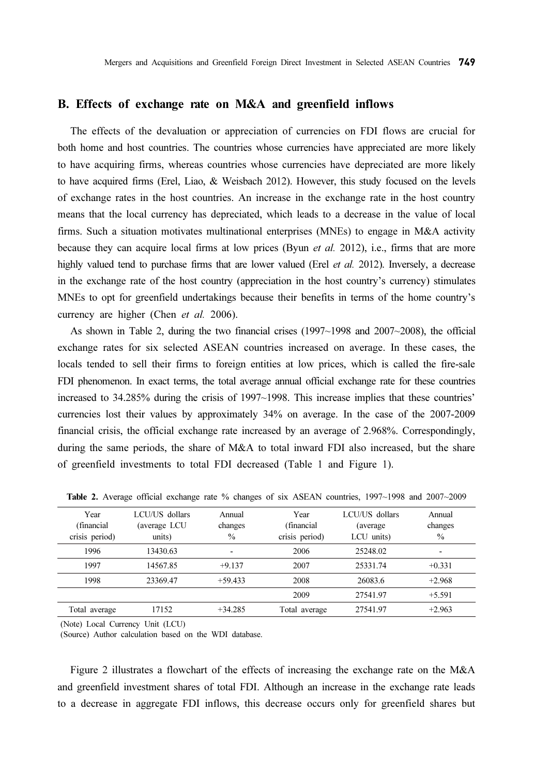#### B. Effects of exchange rate on M&A and greenfield inflows

The effects of the devaluation or appreciation of currencies on FDI flows are crucial for both home and host countries. The countries whose currencies have appreciated are more likely to have acquiring firms, whereas countries whose currencies have depreciated are more likely to have acquired firms (Erel, Liao, & Weisbach 2012). However, this study focused on the levels of exchange rates in the host countries. An increase in the exchange rate in the host country means that the local currency has depreciated, which leads to a decrease in the value of local firms. Such a situation motivates multinational enterprises (MNEs) to engage in M&A activity because they can acquire local firms at low prices (Byun *et al.* 2012), i.e., firms that are more highly valued tend to purchase firms that are lower valued (Erel *et al.* 2012). Inversely, a decrease in the exchange rate of the host country (appreciation in the host country's currency) stimulates MNEs to opt for greenfield undertakings because their benefits in terms of the home country's currency are higher (Chen *et al.* 2006).

As shown in Table 2, during the two financial crises (1997~1998 and 2007~2008), the official exchange rates for six selected ASEAN countries increased on average. In these cases, the locals tended to sell their firms to foreign entities at low prices, which is called the fire-sale FDI phenomenon. In exact terms, the total average annual official exchange rate for these countries increased to 34.285% during the crisis of 1997~1998. This increase implies that these countries' currencies lost their values by approximately 34% on average. In the case of the 2007-2009 financial crisis, the official exchange rate increased by an average of 2.968%. Correspondingly, during the same periods, the share of M&A to total inward FDI also increased, but the share of greenfield investments to total FDI decreased (Table 1 and Figure 1).

| Year           | LCU/US dollars | Annual        | Year           | LCU/US dollars | Annual        |
|----------------|----------------|---------------|----------------|----------------|---------------|
| (financial)    | (average LCU   | changes       | (financial)    | (average)      | changes       |
| crisis period) | units)         | $\frac{0}{0}$ | crisis period) | LCU units)     | $\frac{0}{0}$ |
| 1996           | 13430.63       | -             | 2006           | 25248.02       |               |
| 1997           | 14567.85       | $+9.137$      | 2007           | 25331.74       | $+0.331$      |
| 1998           | 23369.47       | $+59.433$     | 2008           | 26083.6        | $+2.968$      |
|                |                |               | 2009           | 27541.97       | $+5.591$      |
| Total average  | 17152          | $+34.285$     | Total average  | 27541.97       | $+2.963$      |

Table 2. Average official exchange rate % changes of six ASEAN countries, 1997~1998 and 2007~2009

(Note) Local Currency Unit (LCU)

(Source) Author calculation based on the WDI database.

Figure 2 illustrates a flowchart of the effects of increasing the exchange rate on the M&A and greenfield investment shares of total FDI. Although an increase in the exchange rate leads to a decrease in aggregate FDI inflows, this decrease occurs only for greenfield shares but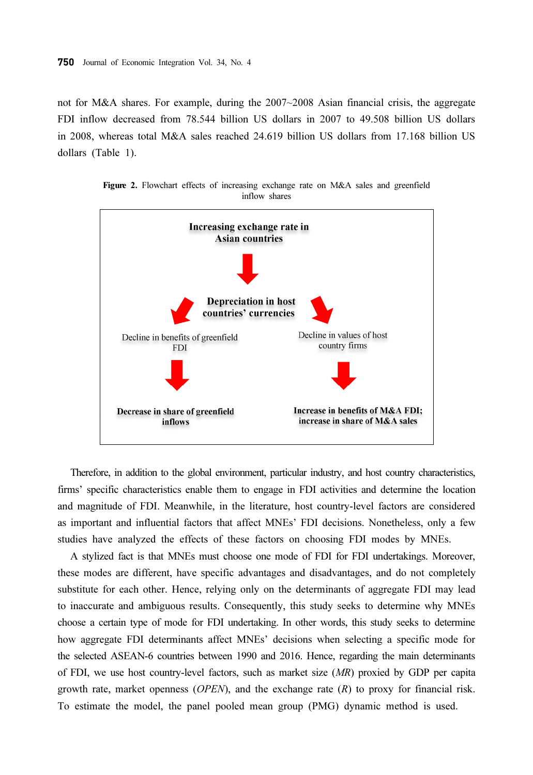not for M&A shares. For example, during the 2007~2008 Asian financial crisis, the aggregate FDI inflow decreased from 78.544 billion US dollars in 2007 to 49.508 billion US dollars in 2008, whereas total M&A sales reached 24.619 billion US dollars from 17.168 billion US dollars (Table 1).



Figure 2. Flowchart effects of increasing exchange rate on M&A sales and greenfield inflow shares

Therefore, in addition to the global environment, particular industry, and host country characteristics, firms' specific characteristics enable them to engage in FDI activities and determine the location and magnitude of FDI. Meanwhile, in the literature, host country-level factors are considered as important and influential factors that affect MNEs' FDI decisions. Nonetheless, only a few studies have analyzed the effects of these factors on choosing FDI modes by MNEs.

A stylized fact is that MNEs must choose one mode of FDI for FDI undertakings. Moreover, these modes are different, have specific advantages and disadvantages, and do not completely substitute for each other. Hence, relying only on the determinants of aggregate FDI may lead to inaccurate and ambiguous results. Consequently, this study seeks to determine why MNEs choose a certain type of mode for FDI undertaking. In other words, this study seeks to determine how aggregate FDI determinants affect MNEs' decisions when selecting a specific mode for the selected ASEAN-6 countries between 1990 and 2016. Hence, regarding the main determinants of FDI, we use host country-level factors, such as market size (MR) proxied by GDP per capita growth rate, market openness ( $OPEN$ ), and the exchange rate  $(R)$  to proxy for financial risk. To estimate the model, the panel pooled mean group (PMG) dynamic method is used.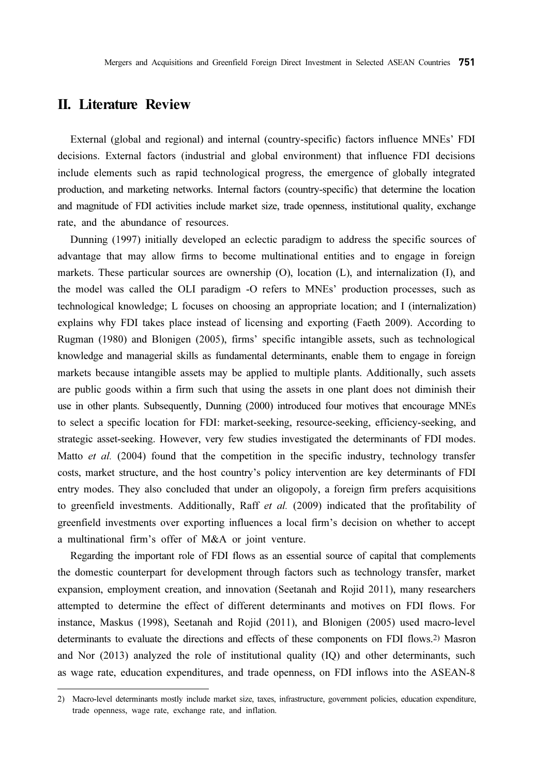## II. Literature Review

External (global and regional) and internal (country-specific) factors influence MNEs' FDI decisions. External factors (industrial and global environment) that influence FDI decisions include elements such as rapid technological progress, the emergence of globally integrated production, and marketing networks. Internal factors (country-specific) that determine the location and magnitude of FDI activities include market size, trade openness, institutional quality, exchange rate, and the abundance of resources.

Dunning (1997) initially developed an eclectic paradigm to address the specific sources of advantage that may allow firms to become multinational entities and to engage in foreign markets. These particular sources are ownership (O), location (L), and internalization (I), and the model was called the OLI paradigm -O refers to MNEs' production processes, such as technological knowledge; L focuses on choosing an appropriate location; and I (internalization) explains why FDI takes place instead of licensing and exporting (Faeth 2009). According to Rugman (1980) and Blonigen (2005), firms' specific intangible assets, such as technological knowledge and managerial skills as fundamental determinants, enable them to engage in foreign markets because intangible assets may be applied to multiple plants. Additionally, such assets are public goods within a firm such that using the assets in one plant does not diminish their use in other plants. Subsequently, Dunning (2000) introduced four motives that encourage MNEs to select a specific location for FDI: market-seeking, resource-seeking, efficiency-seeking, and strategic asset-seeking. However, very few studies investigated the determinants of FDI modes. Matto *et al.* (2004) found that the competition in the specific industry, technology transfer costs, market structure, and the host country's policy intervention are key determinants of FDI entry modes. They also concluded that under an oligopoly, a foreign firm prefers acquisitions to greenfield investments. Additionally, Raff et al. (2009) indicated that the profitability of greenfield investments over exporting influences a local firm's decision on whether to accept a multinational firm's offer of M&A or joint venture.

Regarding the important role of FDI flows as an essential source of capital that complements the domestic counterpart for development through factors such as technology transfer, market expansion, employment creation, and innovation (Seetanah and Rojid 2011), many researchers attempted to determine the effect of different determinants and motives on FDI flows. For instance, Maskus (1998), Seetanah and Rojid (2011), and Blonigen (2005) used macro-level determinants to evaluate the directions and effects of these components on FDI flows.2) Masron and Nor (2013) analyzed the role of institutional quality (IQ) and other determinants, such as wage rate, education expenditures, and trade openness, on FDI inflows into the ASEAN-8

<sup>2)</sup> Macro-level determinants mostly include market size, taxes, infrastructure, government policies, education expenditure, trade openness, wage rate, exchange rate, and inflation.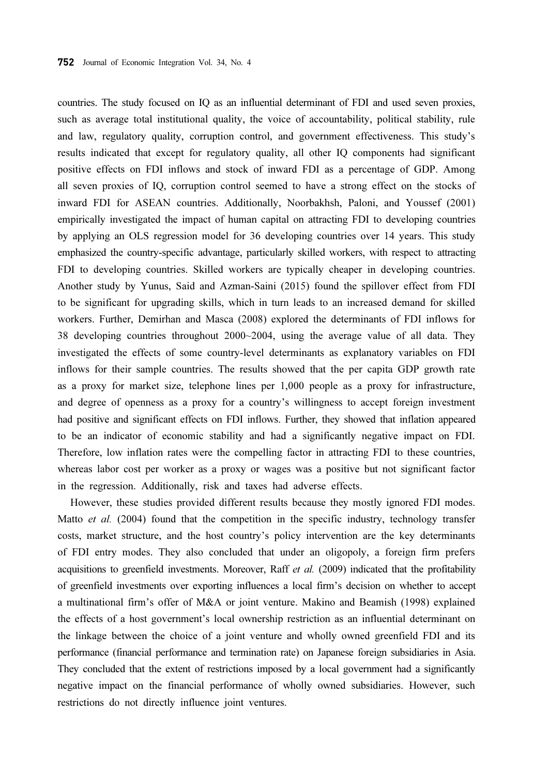countries. The study focused on IQ as an influential determinant of FDI and used seven proxies, such as average total institutional quality, the voice of accountability, political stability, rule and law, regulatory quality, corruption control, and government effectiveness. This study's results indicated that except for regulatory quality, all other IQ components had significant positive effects on FDI inflows and stock of inward FDI as a percentage of GDP. Among all seven proxies of IQ, corruption control seemed to have a strong effect on the stocks of inward FDI for ASEAN countries. Additionally, Noorbakhsh, Paloni, and Youssef (2001) empirically investigated the impact of human capital on attracting FDI to developing countries by applying an OLS regression model for 36 developing countries over 14 years. This study emphasized the country-specific advantage, particularly skilled workers, with respect to attracting FDI to developing countries. Skilled workers are typically cheaper in developing countries. Another study by Yunus, Said and Azman-Saini (2015) found the spillover effect from FDI to be significant for upgrading skills, which in turn leads to an increased demand for skilled workers. Further, Demirhan and Masca (2008) explored the determinants of FDI inflows for 38 developing countries throughout 2000~2004, using the average value of all data. They investigated the effects of some country-level determinants as explanatory variables on FDI inflows for their sample countries. The results showed that the per capita GDP growth rate as a proxy for market size, telephone lines per 1,000 people as a proxy for infrastructure, and degree of openness as a proxy for a country's willingness to accept foreign investment had positive and significant effects on FDI inflows. Further, they showed that inflation appeared to be an indicator of economic stability and had a significantly negative impact on FDI. Therefore, low inflation rates were the compelling factor in attracting FDI to these countries, whereas labor cost per worker as a proxy or wages was a positive but not significant factor in the regression. Additionally, risk and taxes had adverse effects.

However, these studies provided different results because they mostly ignored FDI modes. Matto et al.  $(2004)$  found that the competition in the specific industry, technology transfer costs, market structure, and the host country's policy intervention are the key determinants of FDI entry modes. They also concluded that under an oligopoly, a foreign firm prefers acquisitions to greenfield investments. Moreover, Raff et al. (2009) indicated that the profitability of greenfield investments over exporting influences a local firm's decision on whether to accept a multinational firm's offer of M&A or joint venture. Makino and Beamish (1998) explained the effects of a host government's local ownership restriction as an influential determinant on the linkage between the choice of a joint venture and wholly owned greenfield FDI and its performance (financial performance and termination rate) on Japanese foreign subsidiaries in Asia. They concluded that the extent of restrictions imposed by a local government had a significantly negative impact on the financial performance of wholly owned subsidiaries. However, such restrictions do not directly influence joint ventures.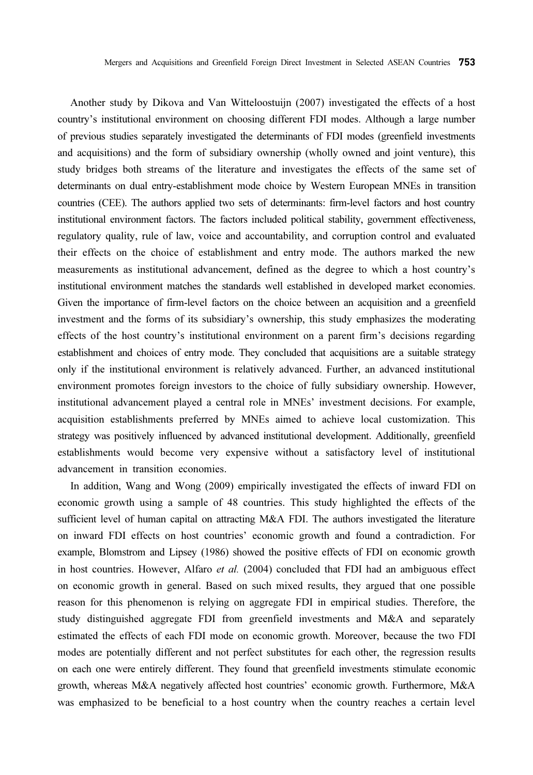Another study by Dikova and Van Witteloostuijn (2007) investigated the effects of a host country's institutional environment on choosing different FDI modes. Although a large number of previous studies separately investigated the determinants of FDI modes (greenfield investments and acquisitions) and the form of subsidiary ownership (wholly owned and joint venture), this study bridges both streams of the literature and investigates the effects of the same set of determinants on dual entry-establishment mode choice by Western European MNEs in transition countries (CEE). The authors applied two sets of determinants: firm-level factors and host country institutional environment factors. The factors included political stability, government effectiveness, regulatory quality, rule of law, voice and accountability, and corruption control and evaluated their effects on the choice of establishment and entry mode. The authors marked the new measurements as institutional advancement, defined as the degree to which a host country's institutional environment matches the standards well established in developed market economies. Given the importance of firm-level factors on the choice between an acquisition and a greenfield investment and the forms of its subsidiary's ownership, this study emphasizes the moderating effects of the host country's institutional environment on a parent firm's decisions regarding establishment and choices of entry mode. They concluded that acquisitions are a suitable strategy only if the institutional environment is relatively advanced. Further, an advanced institutional environment promotes foreign investors to the choice of fully subsidiary ownership. However, institutional advancement played a central role in MNEs' investment decisions. For example, acquisition establishments preferred by MNEs aimed to achieve local customization. This strategy was positively influenced by advanced institutional development. Additionally, greenfield establishments would become very expensive without a satisfactory level of institutional advancement in transition economies.

In addition, Wang and Wong (2009) empirically investigated the effects of inward FDI on economic growth using a sample of 48 countries. This study highlighted the effects of the sufficient level of human capital on attracting M&A FDI. The authors investigated the literature on inward FDI effects on host countries' economic growth and found a contradiction. For example, Blomstrom and Lipsey (1986) showed the positive effects of FDI on economic growth in host countries. However, Alfaro et al. (2004) concluded that FDI had an ambiguous effect on economic growth in general. Based on such mixed results, they argued that one possible reason for this phenomenon is relying on aggregate FDI in empirical studies. Therefore, the study distinguished aggregate FDI from greenfield investments and M&A and separately estimated the effects of each FDI mode on economic growth. Moreover, because the two FDI modes are potentially different and not perfect substitutes for each other, the regression results on each one were entirely different. They found that greenfield investments stimulate economic growth, whereas M&A negatively affected host countries' economic growth. Furthermore, M&A was emphasized to be beneficial to a host country when the country reaches a certain level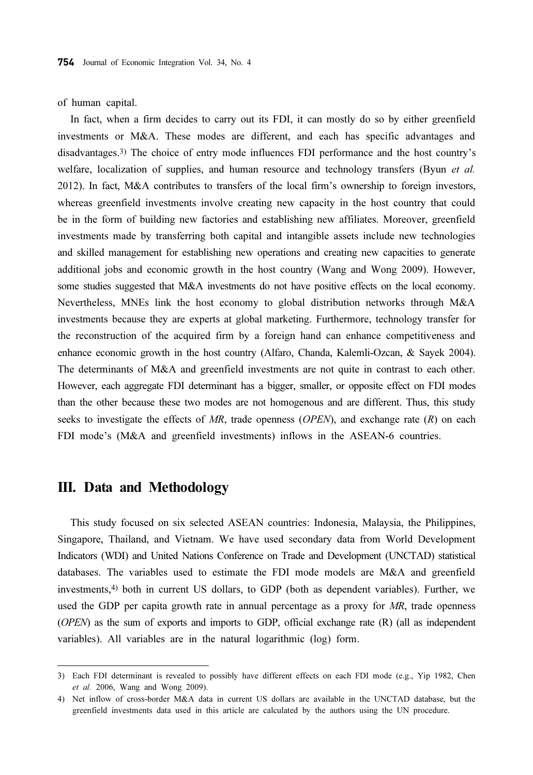of human capital.

In fact, when a firm decides to carry out its FDI, it can mostly do so by either greenfield investments or M&A. These modes are different, and each has specific advantages and disadvantages.3) The choice of entry mode influences FDI performance and the host country's welfare, localization of supplies, and human resource and technology transfers (Byun et al. 2012). In fact, M&A contributes to transfers of the local firm's ownership to foreign investors, whereas greenfield investments involve creating new capacity in the host country that could be in the form of building new factories and establishing new affiliates. Moreover, greenfield investments made by transferring both capital and intangible assets include new technologies and skilled management for establishing new operations and creating new capacities to generate additional jobs and economic growth in the host country (Wang and Wong 2009). However, some studies suggested that M&A investments do not have positive effects on the local economy. Nevertheless, MNEs link the host economy to global distribution networks through M&A investments because they are experts at global marketing. Furthermore, technology transfer for the reconstruction of the acquired firm by a foreign hand can enhance competitiveness and enhance economic growth in the host country (Alfaro, Chanda, Kalemli-Ozcan, & Sayek 2004). The determinants of M&A and greenfield investments are not quite in contrast to each other. However, each aggregate FDI determinant has a bigger, smaller, or opposite effect on FDI modes than the other because these two modes are not homogenous and are different. Thus, this study seeks to investigate the effects of  $MR$ , trade openness (OPEN), and exchange rate  $(R)$  on each FDI mode's (M&A and greenfield investments) inflows in the ASEAN-6 countries.

## III. Data and Methodology

This study focused on six selected ASEAN countries: Indonesia, Malaysia, the Philippines, Singapore, Thailand, and Vietnam. We have used secondary data from World Development Indicators (WDI) and United Nations Conference on Trade and Development (UNCTAD) statistical databases. The variables used to estimate the FDI mode models are M&A and greenfield investments,4) both in current US dollars, to GDP (both as dependent variables). Further, we used the GDP per capita growth rate in annual percentage as a proxy for MR, trade openness (OPEN) as the sum of exports and imports to GDP, official exchange rate (R) (all as independent variables). All variables are in the natural logarithmic (log) form.

<sup>3)</sup> Each FDI determinant is revealed to possibly have different effects on each FDI mode (e.g., Yip 1982, Chen et al. 2006, Wang and Wong 2009).

<sup>4)</sup> Net inflow of cross-border M&A data in current US dollars are available in the UNCTAD database, but the greenfield investments data used in this article are calculated by the authors using the UN procedure.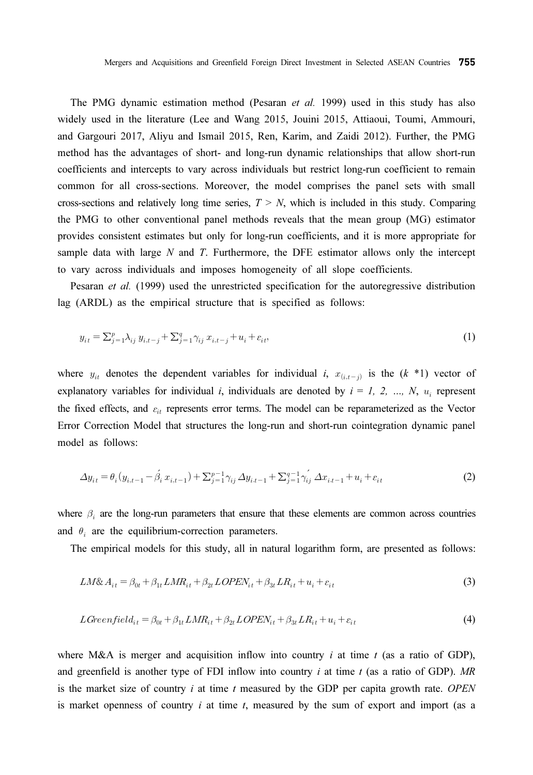The PMG dynamic estimation method (Pesaran et al. 1999) used in this study has also widely used in the literature (Lee and Wang 2015, Jouini 2015, Attiaoui, Toumi, Ammouri, and Gargouri 2017, Aliyu and Ismail 2015, Ren, Karim, and Zaidi 2012). Further, the PMG method has the advantages of short- and long-run dynamic relationships that allow short-run coefficients and intercepts to vary across individuals but restrict long-run coefficient to remain common for all cross-sections. Moreover, the model comprises the panel sets with small cross-sections and relatively long time series,  $T > N$ , which is included in this study. Comparing the PMG to other conventional panel methods reveals that the mean group (MG) estimator provides consistent estimates but only for long-run coefficients, and it is more appropriate for sample data with large  $N$  and  $T$ . Furthermore, the DFE estimator allows only the intercept to vary across individuals and imposes homogeneity of all slope coefficients.

Pesaran et al. (1999) used the unrestricted specification for the autoregressive distribution lag (ARDL) as the empirical structure that is specified as follows:

$$
y_{it} = \sum_{j=1}^{p} \lambda_{ij} y_{i,t-j} + \sum_{j=1}^{q} \gamma_{ij} x_{i,t-j} + u_i + \varepsilon_{it},
$$
\n(1)

where  $y_{it}$  denotes the dependent variables for individual i,  $x_{(i,t-j)}$  is the  $(k * 1)$  vector of explanatory variables for individual *i*, individuals are denoted by  $i = 1, 2, ..., N$ ,  $u_i$  represent the fixed effects, and  $\varepsilon_{it}$  represents error terms. The model can be reparameterized as the Vector Error Correction Model that structures the long-run and short-run cointegration dynamic panel model as follows:

$$
\Delta y_{it} = \theta_i (y_{i,t-1} - \hat{\beta}_i x_{i,t-1}) + \sum_{j=1}^{p-1} \gamma_{ij} \Delta y_{i,t-1} + \sum_{j=1}^{q-1} \gamma_{ij} \Delta x_{i,t-1} + u_i + \varepsilon_{it}
$$
(2)

where  $\beta_i$  are the long-run parameters that ensure that these elements are common across countries and  $\theta_i$  are the equilibrium-correction parameters.

The empirical models for this study, all in natural logarithm form, are presented as follows:

$$
LM\&A_{it} = \beta_{0t} + \beta_{1t}LMR_{it} + \beta_{2t}LOPEN_{it} + \beta_{3t}LR_{it} + u_i + \varepsilon_{it}
$$
\n
$$
\tag{3}
$$

$$
LGreenfield_{it} = \beta_{0t} + \beta_{1t} \, LMR_{it} + \beta_{2t} \, LOPEN_{it} + \beta_{3t} \, LR_{it} + u_i + \varepsilon_{it}
$$
\n
$$
\tag{4}
$$

where M&A is merger and acquisition inflow into country  $i$  at time  $t$  (as a ratio of GDP), and greenfield is another type of FDI inflow into country i at time  $t$  (as a ratio of GDP). MR is the market size of country  $i$  at time  $t$  measured by the GDP per capita growth rate. OPEN is market openness of country  $i$  at time  $t$ , measured by the sum of export and import (as a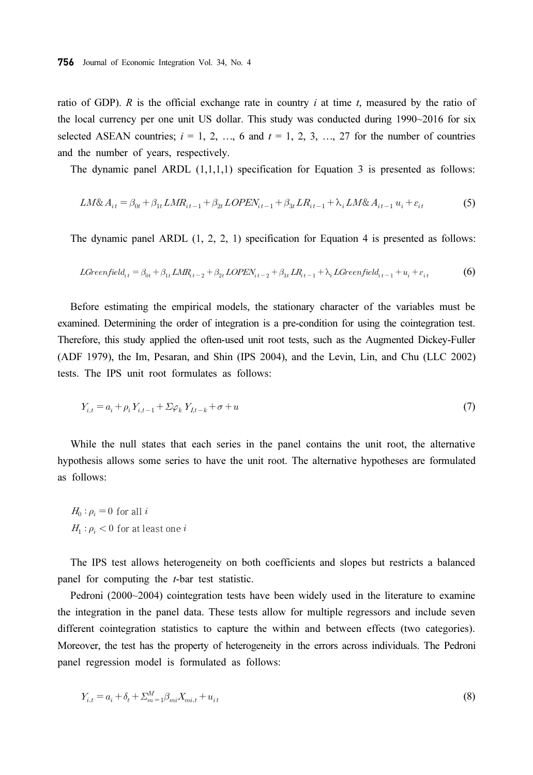ratio of GDP). R is the official exchange rate in country i at time t, measured by the ratio of the local currency per one unit US dollar. This study was conducted during 1990~2016 for six selected ASEAN countries;  $i = 1, 2, ..., 6$  and  $t = 1, 2, 3, ..., 27$  for the number of countries and the number of years, respectively.

The dynamic panel ARDL  $(1,1,1,1)$  specification for Equation 3 is presented as follows:

$$
LM\&A_{it} = \beta_{0t} + \beta_{1t}LMR_{it-1} + \beta_{2t}LOPEN_{it-1} + \beta_{3t}LR_{it-1} + \lambda_i LM\&A_{it-1}u_i + \varepsilon_{it}
$$
 (5)

The dynamic panel ARDL (1, 2, 2, 1) specification for Equation 4 is presented as follows:

$$
LGreenfield_{it} = \beta_{0t} + \beta_{1t} LMR_{t-2} + \beta_{2t} LOPEN_{it-2} + \beta_{3t} LR_{it-1} + \lambda_t LGreenfield_{it-1} + u_i + \varepsilon_{it}
$$
 (6)

Before estimating the empirical models, the stationary character of the variables must be examined. Determining the order of integration is a pre-condition for using the cointegration test. Therefore, this study applied the often-used unit root tests, such as the Augmented Dickey-Fuller (ADF 1979), the Im, Pesaran, and Shin (IPS 2004), and the Levin, Lin, and Chu (LLC 2002) tests. The IPS unit root formulates as follows:

$$
Y_{i,t} = a_i + \rho_i Y_{i,t-1} + \Sigma \varphi_k Y_{i,t-k} + \sigma + u \tag{7}
$$

While the null states that each series in the panel contains the unit root, the alternative hypothesis allows some series to have the unit root. The alternative hypotheses are formulated as follows:

 $H_0: \rho_i = 0$  for all i  $H_1: \rho_i < 0$  for at least one i

The IPS test allows heterogeneity on both coefficients and slopes but restricts a balanced panel for computing the t-bar test statistic.

Pedroni (2000~2004) cointegration tests have been widely used in the literature to examine the integration in the panel data. These tests allow for multiple regressors and include seven different cointegration statistics to capture the within and between effects (two categories). Moreover, the test has the property of heterogeneity in the errors across individuals. The Pedroni panel regression model is formulated as follows:

$$
Y_{i,t} = a_i + \delta_t + \sum_{m=1}^{M} \beta_{mi} X_{mi,t} + u_{it}
$$
\n(8)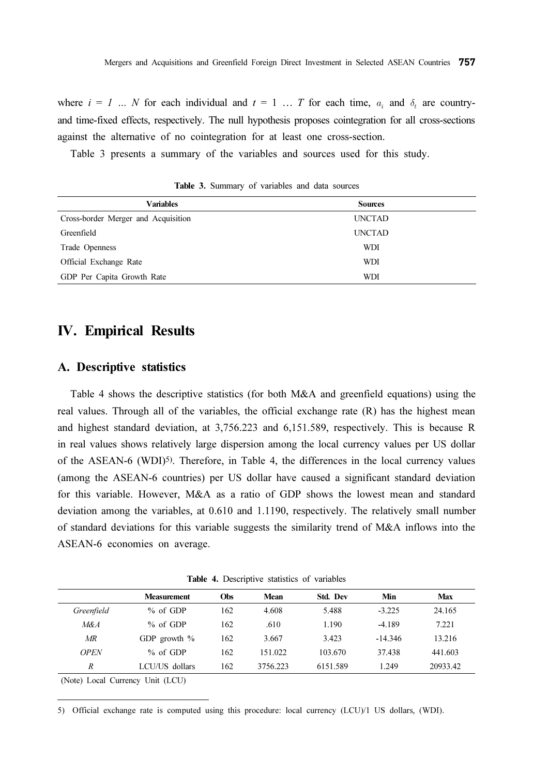where  $i = 1$  ... N for each individual and  $t = 1$  ... T for each time,  $a_i$  and  $\delta_t$  are countryand time-fixed effects, respectively. The null hypothesis proposes cointegration for all cross-sections against the alternative of no cointegration for at least one cross-section.

Table 3 presents a summary of the variables and sources used for this study.

| <b>Variables</b>                    | <b>Sources</b> |
|-------------------------------------|----------------|
| Cross-border Merger and Acquisition | <b>UNCTAD</b>  |
| Greenfield                          | <b>UNCTAD</b>  |
| Trade Openness                      | WDI            |
| Official Exchange Rate              | WDI            |
| GDP Per Capita Growth Rate          | WDI            |

Table 3. Summary of variables and data sources

# IV. Empirical Results

#### A. Descriptive statistics

Table 4 shows the descriptive statistics (for both M&A and greenfield equations) using the real values. Through all of the variables, the official exchange rate (R) has the highest mean and highest standard deviation, at 3,756.223 and 6,151.589, respectively. This is because R in real values shows relatively large dispersion among the local currency values per US dollar of the ASEAN-6 (WDI)<sup>5)</sup>. Therefore, in Table 4, the differences in the local currency values (among the ASEAN-6 countries) per US dollar have caused a significant standard deviation for this variable. However, M&A as a ratio of GDP shows the lowest mean and standard deviation among the variables, at 0.610 and 1.1190, respectively. The relatively small number of standard deviations for this variable suggests the similarity trend of M&A inflows into the ASEAN-6 economies on average.

Table 4. Descriptive statistics of variables

|             | <b>Measurement</b> | Obs | Mean     | <b>Std. Dev</b> | Min       | Max      |
|-------------|--------------------|-----|----------|-----------------|-----------|----------|
| Greenfield  | $%$ of GDP         | 162 | 4.608    | 5.488           | $-3.225$  | 24.165   |
| M&A         | $%$ of GDP         | 162 | .610     | 1.190           | $-4.189$  | 7.221    |
| MR          | GDP growth $\%$    | 162 | 3.667    | 3.423           | $-14.346$ | 13.216   |
| <b>OPEN</b> | $%$ of GDP         | 162 | 151 022  | 103.670         | 37.438    | 441.603  |
| R           | LCU/US dollars     | 162 | 3756.223 | 6151.589        | 1.249     | 20933.42 |
|             |                    |     |          |                 |           |          |

(Note) Local Currency Unit (LCU)

5) Official exchange rate is computed using this procedure: local currency (LCU)/1 US dollars, (WDI).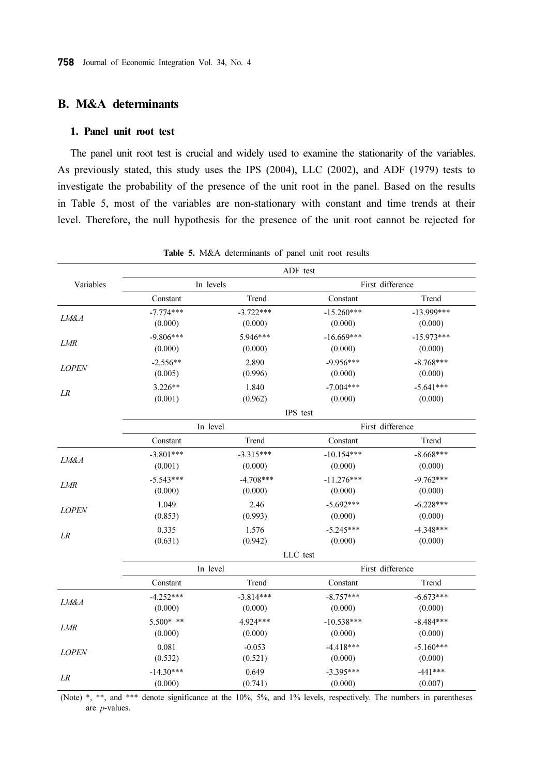### B. M&A determinants

#### 1. Panel unit root test

The panel unit root test is crucial and widely used to examine the stationarity of the variables. As previously stated, this study uses the IPS (2004), LLC (2002), and ADF (1979) tests to investigate the probability of the presence of the unit root in the panel. Based on the results in Table 5, most of the variables are non-stationary with constant and time trends at their level. Therefore, the null hypothesis for the presence of the unit root cannot be rejected for

| Variables                                                                                                                  |             |                                                                                                                                                                                                                                                                                             |                                                                                                                                                                                                                                                                                                                                                                                                                                     |              |
|----------------------------------------------------------------------------------------------------------------------------|-------------|---------------------------------------------------------------------------------------------------------------------------------------------------------------------------------------------------------------------------------------------------------------------------------------------|-------------------------------------------------------------------------------------------------------------------------------------------------------------------------------------------------------------------------------------------------------------------------------------------------------------------------------------------------------------------------------------------------------------------------------------|--------------|
|                                                                                                                            | Constant    | Trend                                                                                                                                                                                                                                                                                       | Constant                                                                                                                                                                                                                                                                                                                                                                                                                            | Trend        |
| LM&A<br><b>LMR</b><br><b>LOPEN</b><br>LR<br>LM&A<br><b>LMR</b><br><b>LOPEN</b><br>LR<br>LM&A<br><b>LMR</b><br><b>LOPEN</b> | $-7.774***$ | $-3.722***$                                                                                                                                                                                                                                                                                 | $-15.260***$                                                                                                                                                                                                                                                                                                                                                                                                                        | $-13.999***$ |
|                                                                                                                            | (0.000)     | (0.000)                                                                                                                                                                                                                                                                                     | (0.000)<br>$-16.669***$<br>(0.000)<br>$-9.956***$<br>2.890<br>(0.000)<br>$-7.004***$<br>1.840<br>(0.000)<br>IPS test<br>Trend<br>Constant<br>$-10.154***$<br>(0.000)<br>$-11.276***$<br>(0.000)<br>$-5.692***$<br>2.46<br>(0.000)<br>1.576<br>$-5.245***$<br>(0.000)<br>LLC test<br>Trend<br>Constant<br>$-8.757***$<br>(0.000)<br>$-10.538***$<br>(0.000)<br>$-4.418***$<br>$-0.053$<br>(0.000)<br>$-3.395***$<br>0.649<br>(0.000) | (0.000)      |
|                                                                                                                            | $-9.806***$ | First difference<br>In levels<br>5.946***<br>(0.000)<br>(0.996)<br>(0.962)<br>First difference<br>In level<br>$-3.315***$<br>(0.000)<br>$-4.708***$<br>(0.000)<br>(0.993)<br>(0.942)<br>First difference<br>In level<br>$-3.814***$<br>(0.000)<br>4.924***<br>(0.000)<br>(0.521)<br>(0.741) | $-15.973***$                                                                                                                                                                                                                                                                                                                                                                                                                        |              |
|                                                                                                                            | (0.000)     |                                                                                                                                                                                                                                                                                             |                                                                                                                                                                                                                                                                                                                                                                                                                                     | (0.000)      |
|                                                                                                                            | $-2.556**$  |                                                                                                                                                                                                                                                                                             |                                                                                                                                                                                                                                                                                                                                                                                                                                     | $-8.768***$  |
|                                                                                                                            | (0.005)     |                                                                                                                                                                                                                                                                                             | ADF test                                                                                                                                                                                                                                                                                                                                                                                                                            | (0.000)      |
|                                                                                                                            | $3.226**$   |                                                                                                                                                                                                                                                                                             |                                                                                                                                                                                                                                                                                                                                                                                                                                     | $-5.641***$  |
|                                                                                                                            | (0.001)     |                                                                                                                                                                                                                                                                                             |                                                                                                                                                                                                                                                                                                                                                                                                                                     | (0.000)      |
|                                                                                                                            |             |                                                                                                                                                                                                                                                                                             |                                                                                                                                                                                                                                                                                                                                                                                                                                     |              |
|                                                                                                                            |             |                                                                                                                                                                                                                                                                                             |                                                                                                                                                                                                                                                                                                                                                                                                                                     |              |
|                                                                                                                            | Constant    |                                                                                                                                                                                                                                                                                             |                                                                                                                                                                                                                                                                                                                                                                                                                                     | Trend        |
|                                                                                                                            | $-3.801***$ |                                                                                                                                                                                                                                                                                             |                                                                                                                                                                                                                                                                                                                                                                                                                                     | $-8.668***$  |
|                                                                                                                            | (0.001)     | 1.049<br>0.335                                                                                                                                                                                                                                                                              |                                                                                                                                                                                                                                                                                                                                                                                                                                     | (0.000)      |
|                                                                                                                            | $-5.543***$ |                                                                                                                                                                                                                                                                                             |                                                                                                                                                                                                                                                                                                                                                                                                                                     | $-9.762***$  |
|                                                                                                                            | (0.000)     | (0.000)<br>$-6.228***$<br>(0.853)<br>(0.000)<br>$-4.348***$<br>(0.631)<br>(0.000)<br>Trend<br>$-6.673***$<br>(0.000)<br>(0.000)<br>$-8.484***$<br>(0.000)<br>(0.000)<br>$-5.160***$<br>0.081<br>(0.532)<br>(0.000)<br>$-441***$<br>(0.000)<br>(0.007)                                       |                                                                                                                                                                                                                                                                                                                                                                                                                                     |              |
|                                                                                                                            |             |                                                                                                                                                                                                                                                                                             |                                                                                                                                                                                                                                                                                                                                                                                                                                     |              |
|                                                                                                                            |             |                                                                                                                                                                                                                                                                                             |                                                                                                                                                                                                                                                                                                                                                                                                                                     |              |
|                                                                                                                            |             |                                                                                                                                                                                                                                                                                             |                                                                                                                                                                                                                                                                                                                                                                                                                                     |              |
|                                                                                                                            |             |                                                                                                                                                                                                                                                                                             |                                                                                                                                                                                                                                                                                                                                                                                                                                     |              |
|                                                                                                                            |             |                                                                                                                                                                                                                                                                                             |                                                                                                                                                                                                                                                                                                                                                                                                                                     |              |
|                                                                                                                            |             |                                                                                                                                                                                                                                                                                             |                                                                                                                                                                                                                                                                                                                                                                                                                                     |              |
|                                                                                                                            | Constant    |                                                                                                                                                                                                                                                                                             |                                                                                                                                                                                                                                                                                                                                                                                                                                     |              |
|                                                                                                                            | $-4.252***$ |                                                                                                                                                                                                                                                                                             |                                                                                                                                                                                                                                                                                                                                                                                                                                     |              |
|                                                                                                                            |             |                                                                                                                                                                                                                                                                                             |                                                                                                                                                                                                                                                                                                                                                                                                                                     |              |
|                                                                                                                            | $5.500*$ ** |                                                                                                                                                                                                                                                                                             |                                                                                                                                                                                                                                                                                                                                                                                                                                     |              |
|                                                                                                                            |             |                                                                                                                                                                                                                                                                                             |                                                                                                                                                                                                                                                                                                                                                                                                                                     |              |
|                                                                                                                            |             |                                                                                                                                                                                                                                                                                             |                                                                                                                                                                                                                                                                                                                                                                                                                                     |              |
|                                                                                                                            |             |                                                                                                                                                                                                                                                                                             |                                                                                                                                                                                                                                                                                                                                                                                                                                     |              |
| LR                                                                                                                         | $-14.30***$ |                                                                                                                                                                                                                                                                                             |                                                                                                                                                                                                                                                                                                                                                                                                                                     |              |
|                                                                                                                            |             |                                                                                                                                                                                                                                                                                             |                                                                                                                                                                                                                                                                                                                                                                                                                                     |              |

Table 5. M&A determinants of panel unit root results

(Note) \*, \*\*, and \*\*\* denote significance at the 10%, 5%, and 1% levels, respectively. The numbers in parentheses are p-values.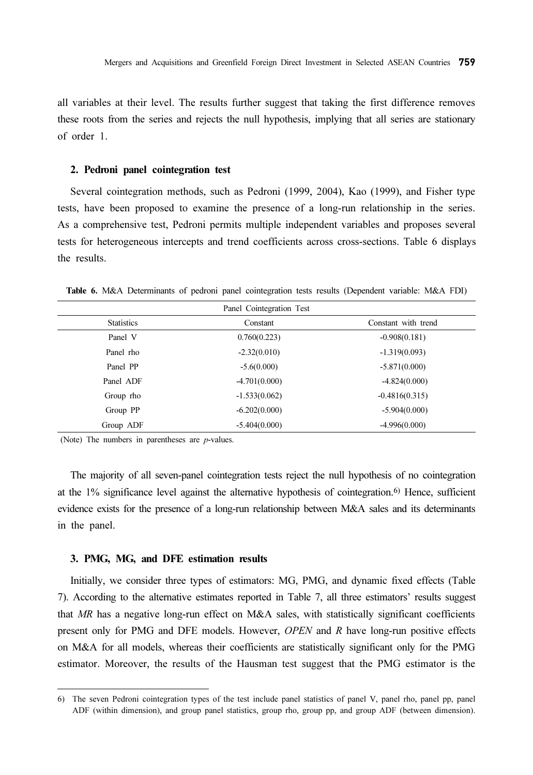all variables at their level. The results further suggest that taking the first difference removes these roots from the series and rejects the null hypothesis, implying that all series are stationary of order 1.

#### 2. Pedroni panel cointegration test

Several cointegration methods, such as Pedroni (1999, 2004), Kao (1999), and Fisher type tests, have been proposed to examine the presence of a long-run relationship in the series. As a comprehensive test, Pedroni permits multiple independent variables and proposes several tests for heterogeneous intercepts and trend coefficients across cross-sections. Table 6 displays the results.

Table 6. M&A Determinants of pedroni panel cointegration tests results (Dependent variable: M&A FDI)

| Panel Cointegration Test |                 |                     |  |  |  |
|--------------------------|-----------------|---------------------|--|--|--|
| <b>Statistics</b>        | Constant        | Constant with trend |  |  |  |
| Panel V                  | 0.760(0.223)    | $-0.908(0.181)$     |  |  |  |
| Panel rho                | $-2.32(0.010)$  | $-1.319(0.093)$     |  |  |  |
| Panel PP                 | $-5.6(0.000)$   | $-5.871(0.000)$     |  |  |  |
| Panel ADF                | $-4.701(0.000)$ | $-4.824(0.000)$     |  |  |  |
| Group rho                | $-1.533(0.062)$ | $-0.4816(0.315)$    |  |  |  |
| Group PP                 | $-6.202(0.000)$ | $-5.904(0.000)$     |  |  |  |
| Group ADF                | $-5.404(0.000)$ | $-4.996(0.000)$     |  |  |  |

(Note) The numbers in parentheses are  $p$ -values.

The majority of all seven-panel cointegration tests reject the null hypothesis of no cointegration at the 1% significance level against the alternative hypothesis of cointegration.6) Hence, sufficient evidence exists for the presence of a long-run relationship between M&A sales and its determinants in the panel.

#### 3. PMG, MG, and DFE estimation results

Initially, we consider three types of estimators: MG, PMG, and dynamic fixed effects (Table 7). According to the alternative estimates reported in Table 7, all three estimators' results suggest that MR has a negative long-run effect on M&A sales, with statistically significant coefficients present only for PMG and DFE models. However, OPEN and R have long-run positive effects on M&A for all models, whereas their coefficients are statistically significant only for the PMG estimator. Moreover, the results of the Hausman test suggest that the PMG estimator is the

<sup>6)</sup> The seven Pedroni cointegration types of the test include panel statistics of panel V, panel rho, panel pp, panel ADF (within dimension), and group panel statistics, group rho, group pp, and group ADF (between dimension).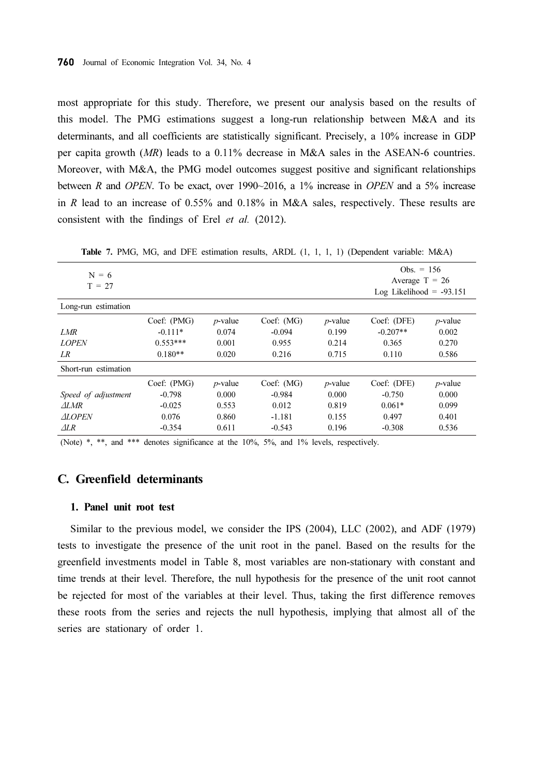most appropriate for this study. Therefore, we present our analysis based on the results of this model. The PMG estimations suggest a long-run relationship between M&A and its determinants, and all coefficients are statistically significant. Precisely, a 10% increase in GDP per capita growth (MR) leads to a 0.11% decrease in M&A sales in the ASEAN-6 countries. Moreover, with M&A, the PMG model outcomes suggest positive and significant relationships between R and OPEN. To be exact, over 1990~2016, a 1% increase in OPEN and a 5% increase in R lead to an increase of 0.55% and 0.18% in M&A sales, respectively. These results are consistent with the findings of Erel et al. (2012).

| $N = 6$<br>$T = 27$  |             |            |            |            | Obs. $= 156$<br>Average $T = 26$<br>Log Likelihood = $-93.151$ |            |  |
|----------------------|-------------|------------|------------|------------|----------------------------------------------------------------|------------|--|
| Long-run estimation  |             |            |            |            |                                                                |            |  |
|                      | Coef: (PMG) | $p$ -value | Coef: (MG) | $p$ -value | Coef: (DFE)                                                    | $p$ -value |  |
| LMR                  | $-0.111*$   | 0.074      | $-0.094$   | 0.199      | $-0.207**$                                                     | 0.002      |  |
| <b>LOPEN</b>         | $0.553***$  | 0.001      | 0.955      | 0.214      | 0.365                                                          | 0.270      |  |
| LR                   | $0.180**$   | 0.020      | 0.216      | 0.715      | 0.110                                                          | 0.586      |  |
| Short-run estimation |             |            |            |            |                                                                |            |  |
|                      | Coef: (PMG) | $p$ -value | Coef: (MG) | $p$ -value | Coef: (DFE)                                                    | $p$ -value |  |
| Speed of adjustment  | $-0.798$    | 0.000      | $-0.984$   | 0.000      | $-0.750$                                                       | 0.000      |  |
| $\triangle I$ .MR    | $-0.025$    | 0.553      | 0.012      | 0.819      | $0.061*$                                                       | 0.099      |  |
| <b>ALOPEN</b>        | 0.076       | 0.860      | $-1.181$   | 0.155      | 0.497                                                          | 0.401      |  |
| $\triangle$ LR       | $-0.354$    | 0.611      | $-0.543$   | 0.196      | $-0.308$                                                       | 0.536      |  |

Table 7. PMG, MG, and DFE estimation results, ARDL (1, 1, 1, 1) (Dependent variable: M&A)

(Note) \*, \*\*, and \*\*\* denotes significance at the 10%, 5%, and 1% levels, respectively.

### C. Greenfield determinants

#### 1. Panel unit root test

Similar to the previous model, we consider the IPS (2004), LLC (2002), and ADF (1979) tests to investigate the presence of the unit root in the panel. Based on the results for the greenfield investments model in Table 8, most variables are non-stationary with constant and time trends at their level. Therefore, the null hypothesis for the presence of the unit root cannot be rejected for most of the variables at their level. Thus, taking the first difference removes these roots from the series and rejects the null hypothesis, implying that almost all of the series are stationary of order 1.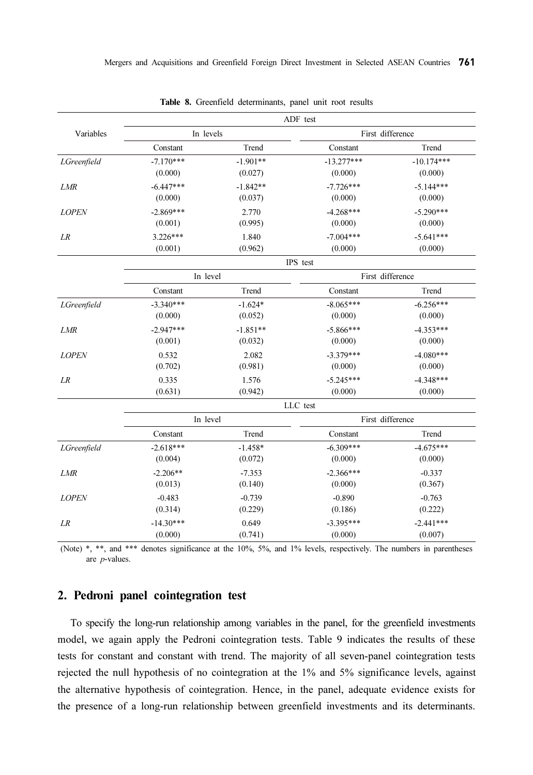|              | ADF test    |                                                                                                                        |                  |                  |  |
|--------------|-------------|------------------------------------------------------------------------------------------------------------------------|------------------|------------------|--|
| Variables    | In levels   |                                                                                                                        |                  | First difference |  |
|              | Constant    | Trend                                                                                                                  | Constant         | Trend            |  |
| LGreenfield  | $-7.170***$ | $-1.901**$                                                                                                             | $-13.277***$     | $-10.174***$     |  |
|              | (0.000)     | (0.027)                                                                                                                | (0.000)          | (0.000)          |  |
| <b>LMR</b>   | $-6.447***$ | $-1.842**$                                                                                                             | $-7.726***$      | $-5.144***$      |  |
|              | (0.000)     | (0.037)                                                                                                                | (0.000)          | (0.000)          |  |
| <b>LOPEN</b> | $-2.869***$ | 2.770                                                                                                                  | $-4.268***$      | $-5.290***$      |  |
|              | (0.001)     | (0.995)                                                                                                                | (0.000)          | (0.000)          |  |
| LR           | $3.226***$  | 1.840                                                                                                                  | $-7.004***$      | $-5.641***$      |  |
|              | (0.001)     | (0.962)                                                                                                                | (0.000)          | (0.000)          |  |
|              |             |                                                                                                                        | IPS test         |                  |  |
|              | In level    |                                                                                                                        | First difference |                  |  |
|              | Constant    | Trend                                                                                                                  | Constant         | Trend            |  |
| LGreenfield  | $-3.340***$ | $-1.624*$                                                                                                              | $-8.065***$      | $-6.256***$      |  |
|              | (0.000)     | (0.052)                                                                                                                | (0.000)          | (0.000)          |  |
| <b>LMR</b>   | $-2.947***$ | $-1.851**$                                                                                                             | $-5.866***$      | $-4.353***$      |  |
|              | (0.001)     | (0.032)                                                                                                                | (0.000)          | (0.000)          |  |
| <b>LOPEN</b> | 0.532       | 2.082                                                                                                                  | $-3.379***$      | $-4.080***$      |  |
|              | (0.702)     | (0.981)                                                                                                                | (0.000)          | (0.000)          |  |
| LR           | 0.335       | 1.576                                                                                                                  | $-5.245***$      | $-4.348***$      |  |
|              | (0.631)     |                                                                                                                        |                  |                  |  |
|              |             |                                                                                                                        |                  |                  |  |
|              | In level    |                                                                                                                        |                  |                  |  |
|              | Constant    | Trend                                                                                                                  | Constant         | Trend            |  |
| LGreenfield  | $-2.618***$ | $-1.458*$                                                                                                              | $-6.309***$      | $-4.675***$      |  |
|              | (0.004)     | (0.072)                                                                                                                | (0.000)          | (0.000)          |  |
| LMR          | $-2.206**$  | $-7.353$                                                                                                               | $-2.366***$      | $-0.337$         |  |
|              | (0.013)     | (0.140)                                                                                                                | (0.000)          | (0.367)          |  |
| <b>LOPEN</b> | $-0.483$    | $-0.739$                                                                                                               | $-0.890$         | $-0.763$         |  |
|              | (0.314)     | (0.942)<br>(0.000)<br>(0.000)<br>LLC test<br>First difference<br>(0.229)<br>(0.186)<br>(0.222)<br>$-3.395***$<br>0.649 |                  |                  |  |
| LR           | $-14.30***$ |                                                                                                                        |                  | $-2.441***$      |  |
|              | (0.000)     | (0.741)                                                                                                                | (0.000)          | (0.007)          |  |

|  |  |  | Table 8. Greenfield determinants, panel unit root results |  |  |  |  |
|--|--|--|-----------------------------------------------------------|--|--|--|--|
|--|--|--|-----------------------------------------------------------|--|--|--|--|

(Note) \*, \*\*, and \*\*\* denotes significance at the 10%, 5%, and 1% levels, respectively. The numbers in parentheses are p-values.

### 2. Pedroni panel cointegration test

To specify the long-run relationship among variables in the panel, for the greenfield investments model, we again apply the Pedroni cointegration tests. Table 9 indicates the results of these tests for constant and constant with trend. The majority of all seven-panel cointegration tests rejected the null hypothesis of no cointegration at the 1% and 5% significance levels, against the alternative hypothesis of cointegration. Hence, in the panel, adequate evidence exists for the presence of a long-run relationship between greenfield investments and its determinants.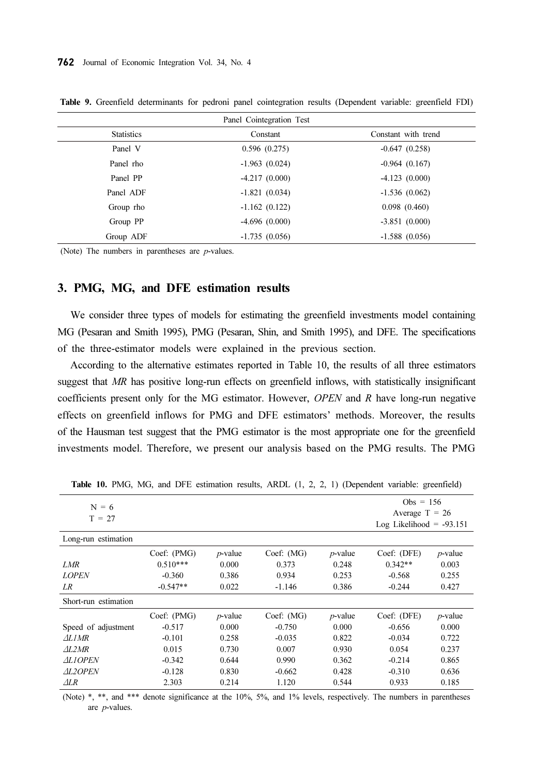| Panel Cointegration Test |                 |                     |  |  |  |  |
|--------------------------|-----------------|---------------------|--|--|--|--|
| <b>Statistics</b>        | Constant        | Constant with trend |  |  |  |  |
| Panel V                  | 0.596(0.275)    | $-0.647(0.258)$     |  |  |  |  |
| Panel rho                | $-1.963(0.024)$ | $-0.964(0.167)$     |  |  |  |  |
| Panel PP                 | $-4.217(0.000)$ | $-4.123(0.000)$     |  |  |  |  |
| Panel ADF                | $-1.821(0.034)$ | $-1.536(0.062)$     |  |  |  |  |
| Group rho                | $-1.162(0.122)$ | 0.098(0.460)        |  |  |  |  |
| Group PP                 | $-4.696(0.000)$ | $-3.851(0.000)$     |  |  |  |  |
| Group ADF                | $-1.735(0.056)$ | $-1.588(0.056)$     |  |  |  |  |

Table 9. Greenfield determinants for pedroni panel cointegration results (Dependent variable: greenfield FDI)

(Note) The numbers in parentheses are  $p$ -values.

#### 3. PMG, MG, and DFE estimation results

We consider three types of models for estimating the greenfield investments model containing MG (Pesaran and Smith 1995), PMG (Pesaran, Shin, and Smith 1995), and DFE. The specifications of the three-estimator models were explained in the previous section.

According to the alternative estimates reported in Table 10, the results of all three estimators suggest that MR has positive long-run effects on greenfield inflows, with statistically insignificant coefficients present only for the MG estimator. However, OPEN and R have long-run negative effects on greenfield inflows for PMG and DFE estimators' methods. Moreover, the results of the Hausman test suggest that the PMG estimator is the most appropriate one for the greenfield investments model. Therefore, we present our analysis based on the PMG results. The PMG

| $N = 6$<br>$T = 27$  |             |            |            | $Obs = 156$<br>Average $T = 26$<br>Log Likelihood = $-93.151$ |             |            |
|----------------------|-------------|------------|------------|---------------------------------------------------------------|-------------|------------|
| Long-run estimation  |             |            |            |                                                               |             |            |
|                      | Coef: (PMG) | $p$ -value | Coef: (MG) | $p$ -value                                                    | Coef: (DFE) | $p$ -value |
| LMR                  | $0.510***$  | 0.000      | 0.373      | 0.248                                                         | $0.342**$   | 0.003      |
| <b>LOPEN</b>         | $-0.360$    | 0.386      | 0.934      | 0.253                                                         | $-0.568$    | 0.255      |
| LR.                  | $-0.547**$  | 0.022      | $-1.146$   | 0.386                                                         | $-0.244$    | 0.427      |
| Short-run estimation |             |            |            |                                                               |             |            |
|                      | Coef: (PMG) | $p$ -value | Coef: (MG) | $p$ -value                                                    | Coef: (DFE) | $p$ -value |
| Speed of adjustment  | $-0.517$    | 0.000      | $-0.750$   | 0.000                                                         | $-0.656$    | 0.000      |
| $\triangle L1MR$     | $-0.101$    | 0.258      | $-0.035$   | 0.822                                                         | $-0.034$    | 0.722      |
| $\triangle L2MR$     | 0.015       | 0.730      | 0.007      | 0.930                                                         | 0.054       | 0.237      |
| <b>ALIOPEN</b>       | $-0.342$    | 0.644      | 0.990      | 0.362                                                         | $-0.214$    | 0.865      |
| <b>AL2OPEN</b>       | $-0.128$    | 0.830      | $-0.662$   | 0.428                                                         | $-0.310$    | 0.636      |
| $\triangle L R$      | 2.303       | 0.214      | 1.120      | 0.544                                                         | 0.933       | 0.185      |

Table 10. PMG, MG, and DFE estimation results, ARDL (1, 2, 2, 1) (Dependent variable: greenfield)

(Note) \*, \*\*, and \*\*\* denote significance at the 10%, 5%, and 1% levels, respectively. The numbers in parentheses are p-values.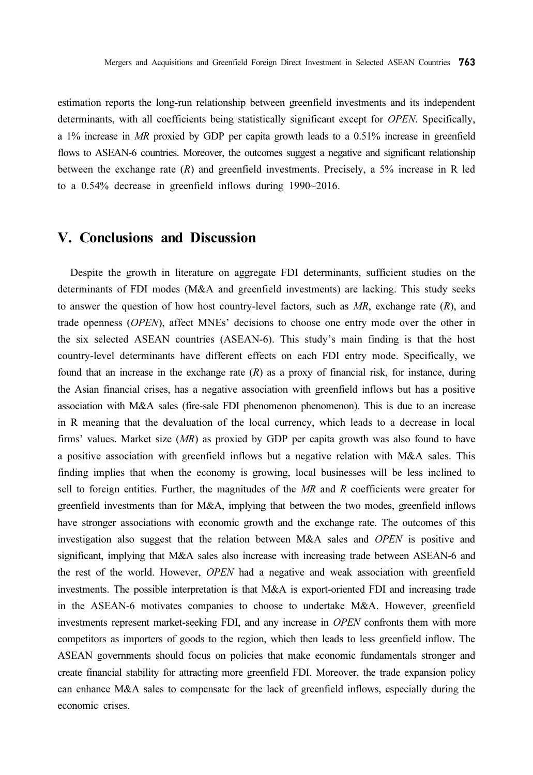estimation reports the long-run relationship between greenfield investments and its independent determinants, with all coefficients being statistically significant except for *OPEN*. Specifically, a 1% increase in MR proxied by GDP per capita growth leads to a 0.51% increase in greenfield flows to ASEAN-6 countries. Moreover, the outcomes suggest a negative and significant relationship between the exchange rate  $(R)$  and greenfield investments. Precisely, a 5% increase in R led to a 0.54% decrease in greenfield inflows during 1990~2016.

## V. Conclusions and Discussion

Despite the growth in literature on aggregate FDI determinants, sufficient studies on the determinants of FDI modes (M&A and greenfield investments) are lacking. This study seeks to answer the question of how host country-level factors, such as  $MR$ , exchange rate  $(R)$ , and trade openness (OPEN), affect MNEs' decisions to choose one entry mode over the other in the six selected ASEAN countries (ASEAN-6). This study's main finding is that the host country-level determinants have different effects on each FDI entry mode. Specifically, we found that an increase in the exchange rate  $(R)$  as a proxy of financial risk, for instance, during the Asian financial crises, has a negative association with greenfield inflows but has a positive association with M&A sales (fire-sale FDI phenomenon phenomenon). This is due to an increase in R meaning that the devaluation of the local currency, which leads to a decrease in local firms' values. Market size  $(MR)$  as proxied by GDP per capita growth was also found to have a positive association with greenfield inflows but a negative relation with M&A sales. This finding implies that when the economy is growing, local businesses will be less inclined to sell to foreign entities. Further, the magnitudes of the  $MR$  and  $R$  coefficients were greater for greenfield investments than for M&A, implying that between the two modes, greenfield inflows have stronger associations with economic growth and the exchange rate. The outcomes of this investigation also suggest that the relation between M&A sales and OPEN is positive and significant, implying that M&A sales also increase with increasing trade between ASEAN-6 and the rest of the world. However, *OPEN* had a negative and weak association with greenfield investments. The possible interpretation is that M&A is export-oriented FDI and increasing trade in the ASEAN-6 motivates companies to choose to undertake M&A. However, greenfield investments represent market-seeking FDI, and any increase in OPEN confronts them with more competitors as importers of goods to the region, which then leads to less greenfield inflow. The ASEAN governments should focus on policies that make economic fundamentals stronger and create financial stability for attracting more greenfield FDI. Moreover, the trade expansion policy can enhance M&A sales to compensate for the lack of greenfield inflows, especially during the economic crises.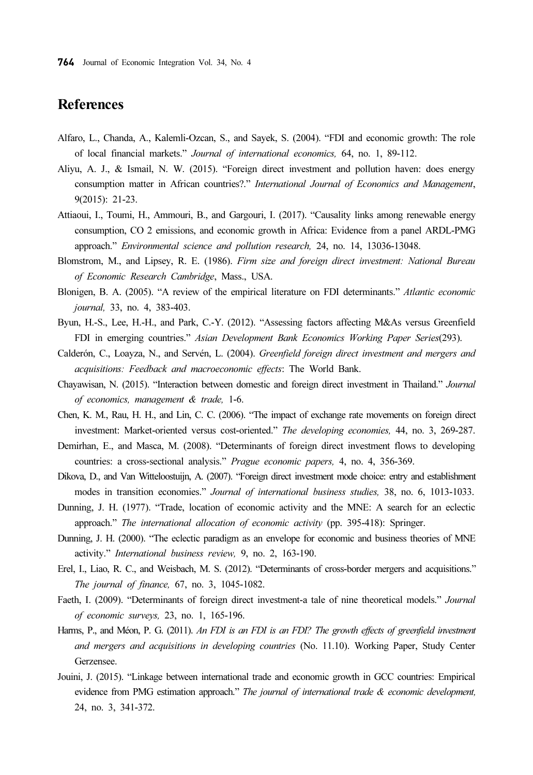# References

- Alfaro, L., Chanda, A., Kalemli-Ozcan, S., and Sayek, S. (2004). "FDI and economic growth: The role of local financial markets." Journal of international economics, 64, no. 1, 89-112.
- Aliyu, A. J., & Ismail, N. W. (2015). "Foreign direct investment and pollution haven: does energy consumption matter in African countries?." International Journal of Economics and Management, 9(2015): 21-23.
- Attiaoui, I., Toumi, H., Ammouri, B., and Gargouri, I. (2017). "Causality links among renewable energy consumption, CO 2 emissions, and economic growth in Africa: Evidence from a panel ARDL-PMG approach." Environmental science and pollution research, 24, no. 14, 13036-13048.
- Blomstrom, M., and Lipsey, R. E. (1986). Firm size and foreign direct investment: National Bureau of Economic Research Cambridge, Mass., USA.
- Blonigen, B. A. (2005). "A review of the empirical literature on FDI determinants." Atlantic economic journal, 33, no. 4, 383-403.
- Byun, H.-S., Lee, H.-H., and Park, C.-Y. (2012). "Assessing factors affecting M&As versus Greenfield FDI in emerging countries." Asian Development Bank Economics Working Paper Series(293).
- Calderón, C., Loayza, N., and Servén, L. (2004). Greenfield foreign direct investment and mergers and acquisitions: Feedback and macroeconomic effects: The World Bank.
- Chayawisan, N. (2015). "Interaction between domestic and foreign direct investment in Thailand." Journal of economics, management & trade, 1-6.
- Chen, K. M., Rau, H. H., and Lin, C. C. (2006). "The impact of exchange rate movements on foreign direct investment: Market-oriented versus cost-oriented." The developing economies, 44, no. 3, 269-287.
- Demirhan, E., and Masca, M. (2008). "Determinants of foreign direct investment flows to developing countries: a cross-sectional analysis." Prague economic papers, 4, no. 4, 356-369.
- Dikova, D., and Van Witteloostuijn, A. (2007). "Foreign direct investment mode choice: entry and establishment modes in transition economies." Journal of international business studies, 38, no. 6, 1013-1033.
- Dunning, J. H. (1977). "Trade, location of economic activity and the MNE: A search for an eclectic approach." The international allocation of economic activity (pp. 395-418): Springer.
- Dunning, J. H. (2000). "The eclectic paradigm as an envelope for economic and business theories of MNE activity." International business review, 9, no. 2, 163-190.
- Erel, I., Liao, R. C., and Weisbach, M. S. (2012). "Determinants of cross-border mergers and acquisitions." The journal of finance, 67, no. 3, 1045-1082.
- Faeth, I. (2009). "Determinants of foreign direct investment-a tale of nine theoretical models." Journal of economic surveys, 23, no. 1, 165-196.
- Harms, P., and Méon, P. G. (2011). An FDI is an FDI is an FDI? The growth effects of greenfield investment and mergers and acquisitions in developing countries (No. 11.10). Working Paper, Study Center Gerzensee.
- Jouini, J. (2015). "Linkage between international trade and economic growth in GCC countries: Empirical evidence from PMG estimation approach." The journal of international trade & economic development, 24, no. 3, 341-372.